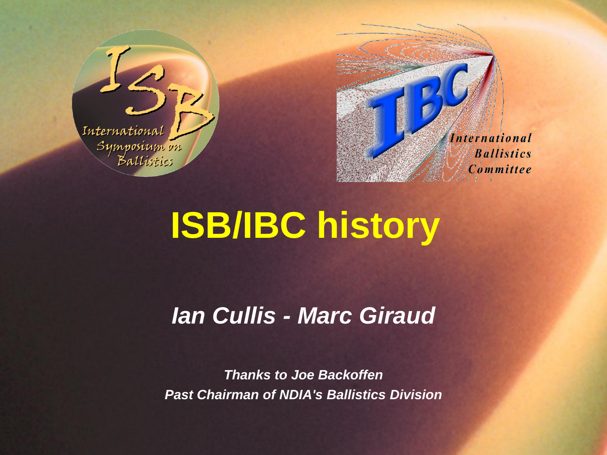



# **ISB/IBC history**

## *Ian Cullis - Marc Giraud*

*Thanks to Joe Backoffen Past Chairman of NDIA's Ballistics Division*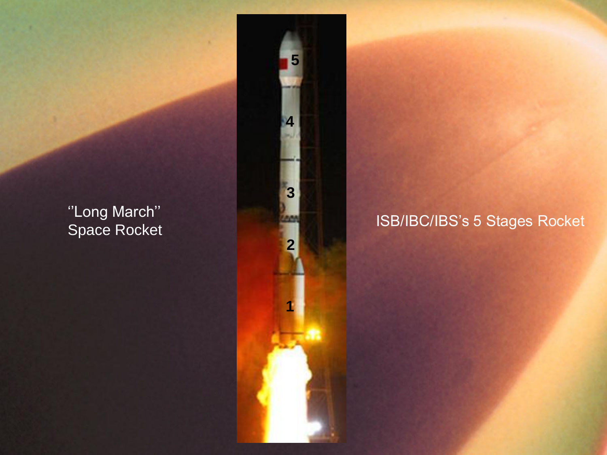#### ''Long March'' Space Rocket



#### ISB/IBC/IBS's 5 Stages Rocket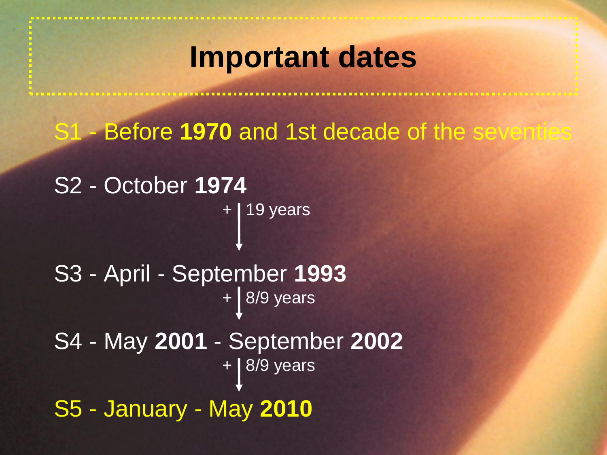## **Important dates**

S1 - Before **1970** and 1st decade of the seventies

```
S2 - October 1974
                + 19 years
S3 - April - September 1993
                + 8/9 years
S4 - May 2001 - September 2002
                + 8/9 years
S5 - January - May 2010
```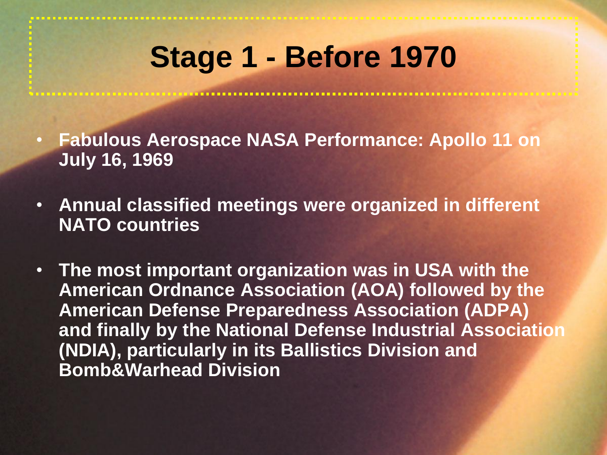# **Stage 1 - Before 1970**

- **Fabulous Aerospace NASA Performance: Apollo 11 on July 16, 1969**
- **Annual classified meetings were organized in different NATO countries**
- **The most important organization was in USA with the American Ordnance Association (AOA) followed by the American Defense Preparedness Association (ADPA) and finally by the National Defense Industrial Association (NDIA), particularly in its Ballistics Division and Bomb&Warhead Division**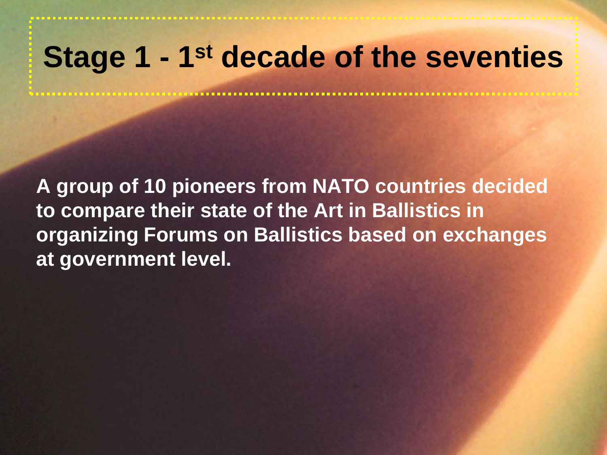## **Stage 1 - 1st decade of the seventies**

**A group of 10 pioneers from NATO countries decided to compare their state of the Art in Ballistics in organizing Forums on Ballistics based on exchanges at government level.**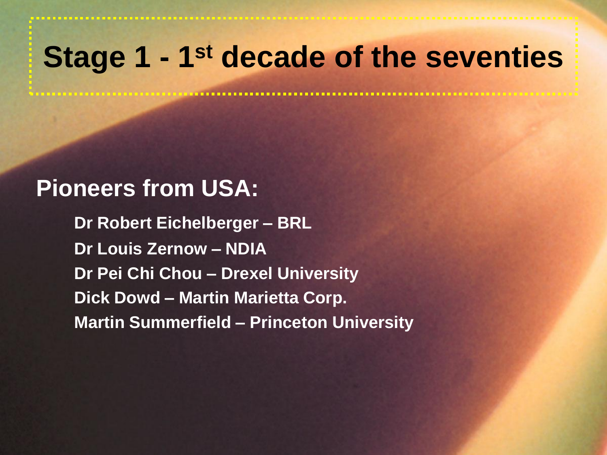## **Stage 1 - 1st decade of the seventies**

#### **Pioneers from USA:**

**Dr Robert Eichelberger – BRL Dr Louis Zernow – NDIA Dr Pei Chi Chou – Drexel University Dick Dowd – Martin Marietta Corp. Martin Summerfield – Princeton University**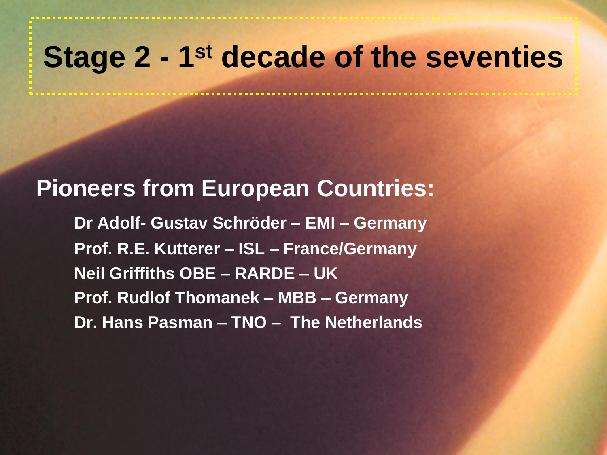## **Stage 2 - 1st decade of the seventies**

#### **Pioneers from European Countries:**

**Dr Adolf- Gustav Schröder – EMI – Germany Prof. R.E. Kutterer – ISL – France/Germany Neil Griffiths OBE – RARDE – UK Prof. Rudlof Thomanek – MBB – Germany Dr. Hans Pasman – TNO – The Netherlands**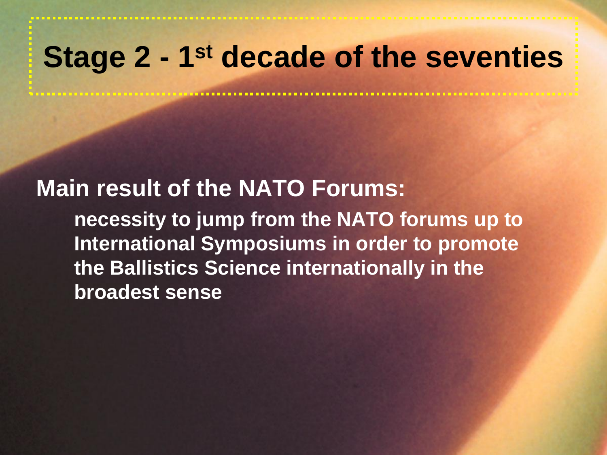## **Stage 2 - 1st decade of the seventies**

#### **Main result of the NATO Forums:**

**necessity to jump from the NATO forums up to International Symposiums in order to promote the Ballistics Science internationally in the broadest sense**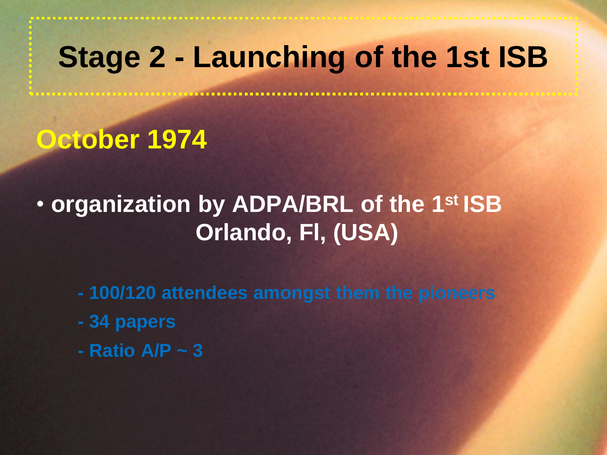## **Stage 2 - Launching of the 1st ISB**

## **October 1974**

## • **organization by ADPA/BRL of the 1st ISB Orlando, Fl, (USA)**

- **- 100/120 attendees amongst them the pioneers**
- **- 34 papers**
- **- Ratio A/P ~ 3**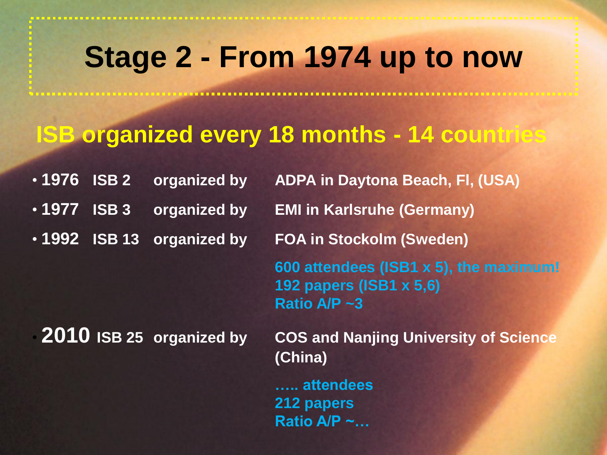## **Stage 2 - From 1974 up to now**

#### **ISB organized every 18 months - 14 countries**

| • 1976 ISB 2                     | organized by | <b>ADPA in Daytona Beach, FI, (USA)</b>                                           |
|----------------------------------|--------------|-----------------------------------------------------------------------------------|
| $\cdot$ 1977 ISB 3               | organized by | <b>EMI in Karlsruhe (Germany)</b>                                                 |
| .1992 ISB 13 organized by        |              | <b>FOA in Stockolm (Sweden)</b>                                                   |
|                                  |              | 600 attendees (ISB1 x 5), the maximum!<br>192 papers (ISB1 x 5,6)<br>Ratio A/P ~3 |
| $\cdot$ 2010 ISB 25 organized by |              | <b>COS and Nanjing University of Science</b><br>(China)                           |

**….. attendees 212 papers Ratio A/P ~…**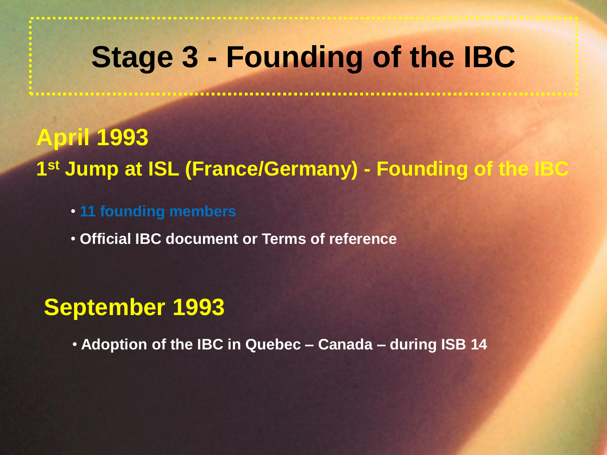## **Stage 3 - Founding of the IBC**

**April 1993 1 st Jump at ISL (France/Germany) - Founding of the IBC**

• **11 founding members**

• **Official IBC document or Terms of reference** 

#### **September 1993**

• **Adoption of the IBC in Quebec – Canada – during ISB 14**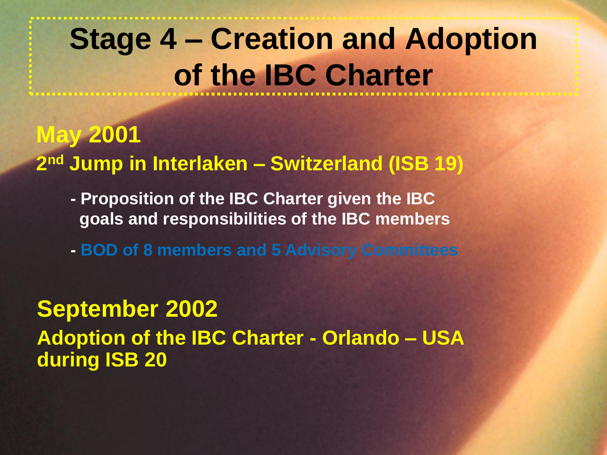# **Stage 4 – Creation and Adoption of the IBC Charter**

**May 2001 2 nd Jump in Interlaken – Switzerland (ISB 19)**

- **- Proposition of the IBC Charter given the IBC goals and responsibilities of the IBC members**
- **- BOD of 8 members and 5 Advisory Committees**

**September 2002 Adoption of the IBC Charter - Orlando – USA during ISB 20**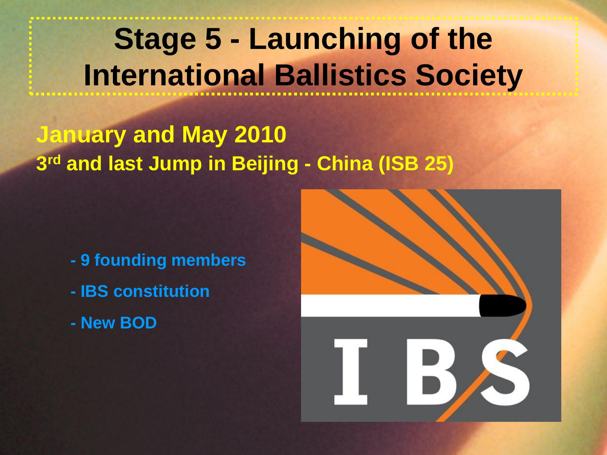# **Stage 5 - Launching of the International Ballistics Society**

#### **January and May 2010 3 rd and last Jump in Beijing - China (ISB 25)**

- **- 9 founding members**
- **- IBS constitution**
- **- New BOD**

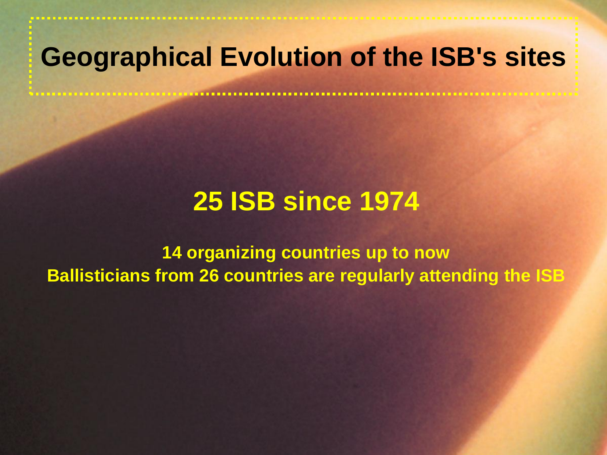## **Geographical Evolution of the ISB's sites**

## **25 ISB since 1974**

**14 organizing countries up to now Ballisticians from 26 countries are regularly attending the ISB**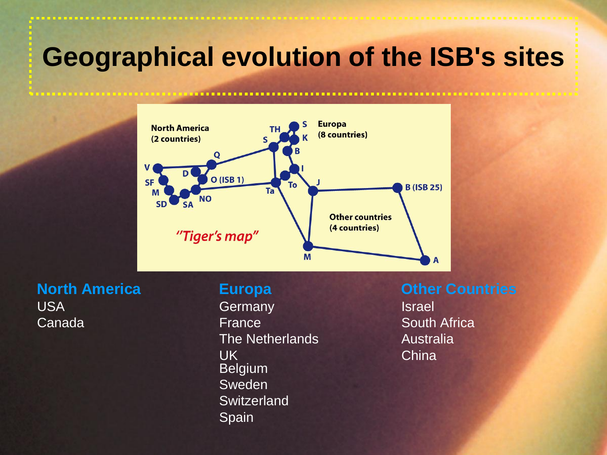## **Geographical evolution of the ISB's sites**



USA Germany Germany Israel **Canada France** South Africa The Netherlands **Australia** UK China Belgium Sweden **Switzerland** Spain

**North America <b>Europa Construction Europa Countries**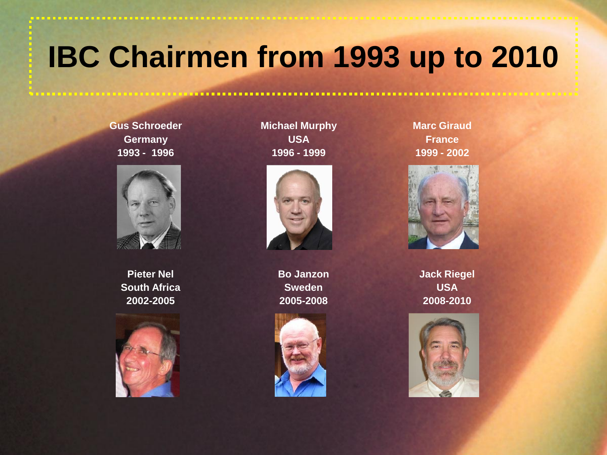# **IBC Chairmen from 1993 up to 2010**

**Gus Schroeder Germany 1993 - 1996** 



**Pieter Nel South Africa 2002-2005**



**Michael Murphy USA 1996 - 1999**



**Bo Janzon Sweden 2005-2008**



**Marc Giraud France 1999 - 2002**



**Jack Riegel USA 2008-2010**

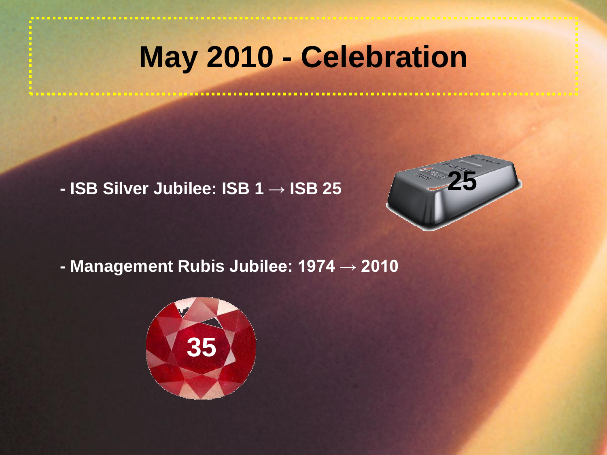## **May 2010 - Celebration**

**- ISB Silver Jubilee: ISB 1** → **ISB 25** 



**- Management Rubis Jubilee: 1974 → 2010**